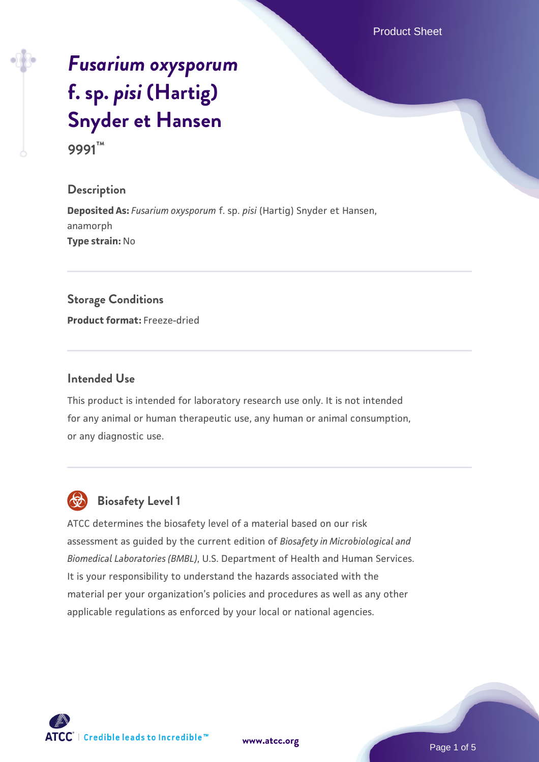Product Sheet

# *[Fusarium oxysporum](https://www.atcc.org/products/9991)* **[f. sp.](https://www.atcc.org/products/9991)** *[pisi](https://www.atcc.org/products/9991)* **[\(Hartig\)](https://www.atcc.org/products/9991) [Snyder et Hansen](https://www.atcc.org/products/9991)**

**9991™**

## **Description**

**Deposited As:** *Fusarium oxysporum* f. sp. *pisi* (Hartig) Snyder et Hansen, anamorph **Type strain:** No

#### **Storage Conditions**

**Product format:** Freeze-dried

#### **Intended Use**

This product is intended for laboratory research use only. It is not intended for any animal or human therapeutic use, any human or animal consumption, or any diagnostic use.



# **Biosafety Level 1**

ATCC determines the biosafety level of a material based on our risk assessment as guided by the current edition of *Biosafety in Microbiological and Biomedical Laboratories (BMBL)*, U.S. Department of Health and Human Services. It is your responsibility to understand the hazards associated with the material per your organization's policies and procedures as well as any other applicable regulations as enforced by your local or national agencies.

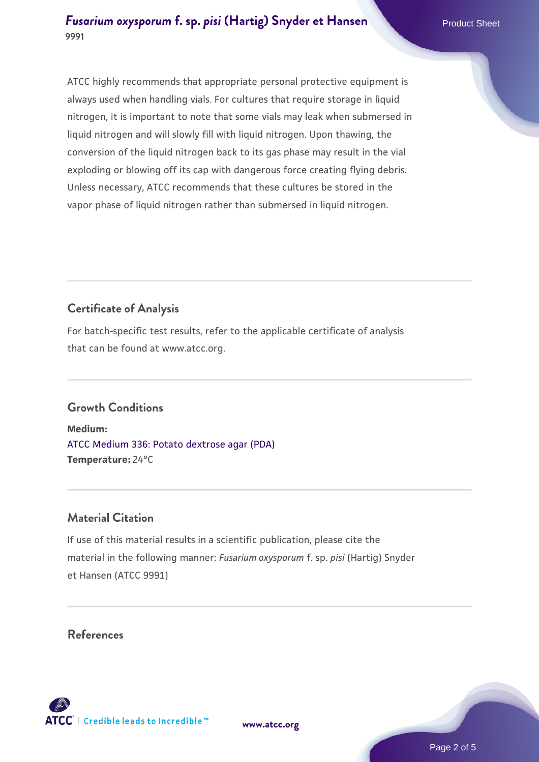## *[Fusarium oxysporum](https://www.atcc.org/products/9991)* **[f. sp.](https://www.atcc.org/products/9991)** *[pisi](https://www.atcc.org/products/9991)* **[\(Hartig\) Snyder et Hansen](https://www.atcc.org/products/9991) Product Sheet 9991**

ATCC highly recommends that appropriate personal protective equipment is always used when handling vials. For cultures that require storage in liquid nitrogen, it is important to note that some vials may leak when submersed in liquid nitrogen and will slowly fill with liquid nitrogen. Upon thawing, the conversion of the liquid nitrogen back to its gas phase may result in the vial exploding or blowing off its cap with dangerous force creating flying debris. Unless necessary, ATCC recommends that these cultures be stored in the

vapor phase of liquid nitrogen rather than submersed in liquid nitrogen.

# **Certificate of Analysis**

For batch-specific test results, refer to the applicable certificate of analysis that can be found at www.atcc.org.

# **Growth Conditions**

**Medium:**  [ATCC Medium 336: Potato dextrose agar \(PDA\)](https://www.atcc.org/-/media/product-assets/documents/microbial-media-formulations/3/3/6/atcc-medium-336.pdf?rev=d9160ad44d934cd8b65175461abbf3b9) **Temperature:** 24°C

## **Material Citation**

If use of this material results in a scientific publication, please cite the material in the following manner: *Fusarium oxysporum* f. sp. *pisi* (Hartig) Snyder et Hansen (ATCC 9991)

## **References**

**[www.atcc.org](http://www.atcc.org)**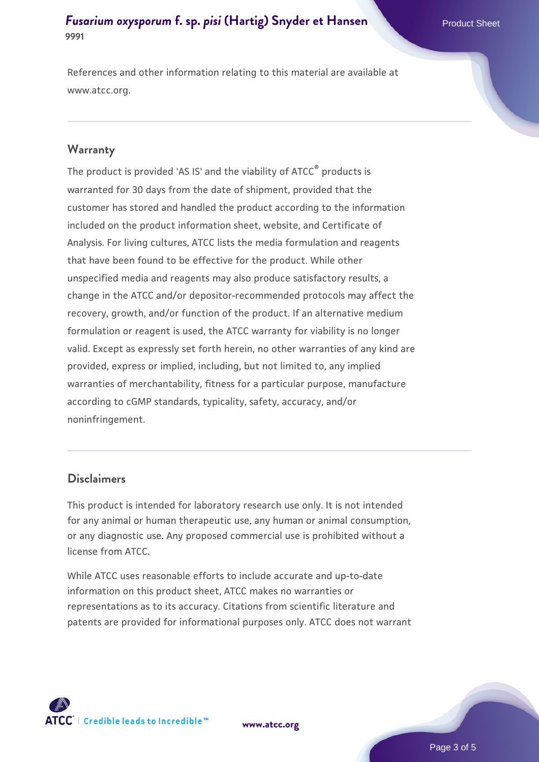## *[Fusarium oxysporum](https://www.atcc.org/products/9991)* **[f. sp.](https://www.atcc.org/products/9991)** *[pisi](https://www.atcc.org/products/9991)* **[\(Hartig\) Snyder et Hansen](https://www.atcc.org/products/9991) Product Sheet 9991**

References and other information relating to this material are available at www.atcc.org.

#### **Warranty**

The product is provided 'AS IS' and the viability of ATCC® products is warranted for 30 days from the date of shipment, provided that the customer has stored and handled the product according to the information included on the product information sheet, website, and Certificate of Analysis. For living cultures, ATCC lists the media formulation and reagents that have been found to be effective for the product. While other unspecified media and reagents may also produce satisfactory results, a change in the ATCC and/or depositor-recommended protocols may affect the recovery, growth, and/or function of the product. If an alternative medium formulation or reagent is used, the ATCC warranty for viability is no longer valid. Except as expressly set forth herein, no other warranties of any kind are provided, express or implied, including, but not limited to, any implied warranties of merchantability, fitness for a particular purpose, manufacture according to cGMP standards, typicality, safety, accuracy, and/or noninfringement.

#### **Disclaimers**

This product is intended for laboratory research use only. It is not intended for any animal or human therapeutic use, any human or animal consumption, or any diagnostic use. Any proposed commercial use is prohibited without a license from ATCC.

While ATCC uses reasonable efforts to include accurate and up-to-date information on this product sheet, ATCC makes no warranties or representations as to its accuracy. Citations from scientific literature and patents are provided for informational purposes only. ATCC does not warrant

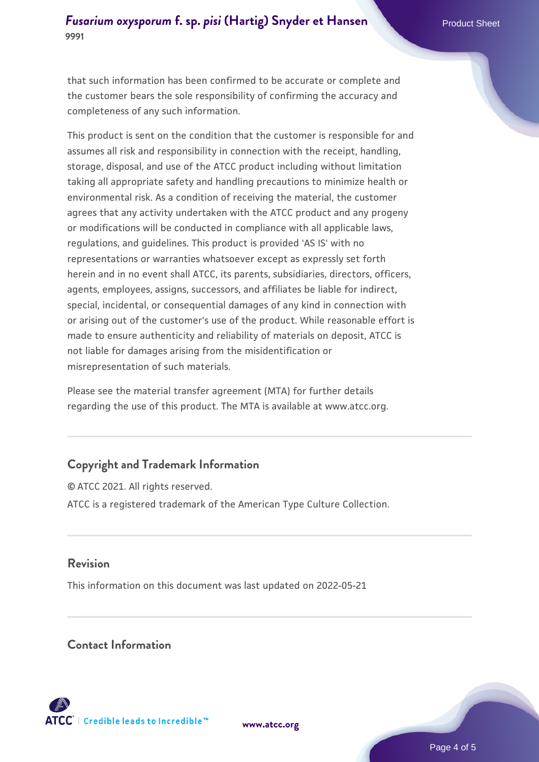#### *[Fusarium oxysporum](https://www.atcc.org/products/9991)* **[f. sp.](https://www.atcc.org/products/9991)** *[pisi](https://www.atcc.org/products/9991)* **[\(Hartig\) Snyder et Hansen](https://www.atcc.org/products/9991) Product Sheet Product Sheet 9991**

that such information has been confirmed to be accurate or complete and the customer bears the sole responsibility of confirming the accuracy and completeness of any such information.

This product is sent on the condition that the customer is responsible for and assumes all risk and responsibility in connection with the receipt, handling, storage, disposal, and use of the ATCC product including without limitation taking all appropriate safety and handling precautions to minimize health or environmental risk. As a condition of receiving the material, the customer agrees that any activity undertaken with the ATCC product and any progeny or modifications will be conducted in compliance with all applicable laws, regulations, and guidelines. This product is provided 'AS IS' with no representations or warranties whatsoever except as expressly set forth herein and in no event shall ATCC, its parents, subsidiaries, directors, officers, agents, employees, assigns, successors, and affiliates be liable for indirect, special, incidental, or consequential damages of any kind in connection with or arising out of the customer's use of the product. While reasonable effort is made to ensure authenticity and reliability of materials on deposit, ATCC is not liable for damages arising from the misidentification or misrepresentation of such materials.

Please see the material transfer agreement (MTA) for further details regarding the use of this product. The MTA is available at www.atcc.org.

## **Copyright and Trademark Information**

© ATCC 2021. All rights reserved. ATCC is a registered trademark of the American Type Culture Collection.

#### **Revision**

This information on this document was last updated on 2022-05-21

#### **Contact Information**



**[www.atcc.org](http://www.atcc.org)**